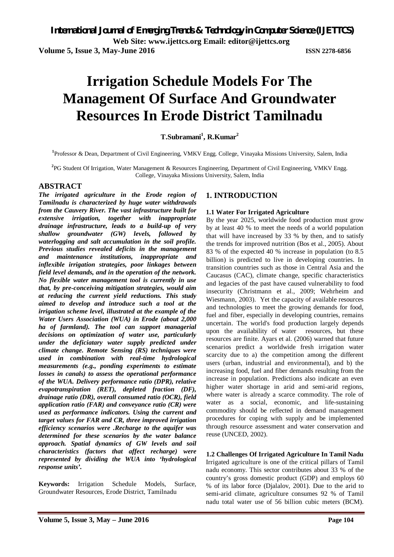# **Irrigation Schedule Models For The Management Of Surface And Groundwater Resources In Erode District Tamilnadu**

**T.Subramani<sup>1</sup> , R.Kumar<sup>2</sup>**

**1** Professor & Dean, Department of Civil Engineering, VMKV Engg. College, Vinayaka Missions University, Salem, India

**2** PG Student Of Irrigation, Water Management & Resources Engineering, Department of Civil Engineering, VMKV Engg. College, Vinayaka Missions University, Salem, India

#### **ABSTRACT**

*The irrigated agriculture in the Erode region of Tamilnadu is characterized by huge water withdrawals from the Cauvery River. The vast infrastructure built for extensive irrigation, together with inappropriate drainage infrastructure, leads to a build-up of very shallow groundwater (GW) levels, followed by waterlogging and salt accumulation in the soil profile. Previous studies revealed deficits in the management and maintenance institutions, inappropriate and inflexible irrigation strategies, poor linkages between field level demands, and in the operation of the network. No flexible water management tool is currently in use that, by pre-conceiving mitigation strategies, would aim at reducing the current yield reductions. This study aimed to develop and introduce such a tool at the irrigation scheme level, illustrated at the example of the Water Users Association (WUA) in Erode (about 2,000 ha of farmland). The tool can support managerial decisions on optimization of water use, particularly under the deficiatary water supply predicted under climate change. Remote Sensing (RS) techniques were used in combination with real-time hydrological measurements (e.g., ponding experiments to estimate losses in canals) to assess the operational performance of the WUA. Delivery performance ratio (DPR), relative evapotranspiration (RET), depleted fraction (DF), drainage ratio (DR), overall consumed ratio (OCR), field application ratio (FAR) and conveyance ratio (CR) were used as performance indicators. Using the current and target values for FAR and CR, three improved irrigation efficiency scenarios were .Recharge to the aquifer was determined for these scenarios by the water balance approach. Spatial dynamics of GW levels and soil characteristics (factors that affect recharge) were represented by dividing the WUA into 'hydrological response units'.* 

**Keywords:** Irrigation Schedule Models, Surface, Groundwater Resources, Erode District, Tamilnadu

# **1. INTRODUCTION**

#### **1.1 Water For Irrigated Agriculture**

By the year 2025, worldwide food production must grow by at least 40 % to meet the needs of a world population that will have increased by 33 % by then, and to satisfy the trends for improved nutrition (Bos et al., 2005). About 83 % of the expected 40 % increase in population (to 8.5 billion) is predicted to live in developing countries. In transition countries such as those in Central Asia and the Caucasus (CAC), climate change, specific characteristics and legacies of the past have caused vulnerability to food insecurity (Christmann et al., 2009; Wehrheim and Wiesmann, 2003). Yet the capacity of available resources and technologies to meet the growing demands for food, fuel and fiber, especially in developing countries, remains uncertain. The world's food production largely depends upon the availability of water resources, but these resources are finite. Ayars et al. (2006) warned that future scenarios predict a worldwide fresh irrigation water scarcity due to a) the competition among the different users (urban, industrial and environmental), and b) the increasing food, fuel and fiber demands resulting from the increase in population. Predictions also indicate an even higher water shortage in arid and semi-arid regions, where water is already a scarce commodity. The role of water as a social, economic, and life-sustaining commodity should be reflected in demand management procedures for coping with supply and be implemented through resource assessment and water conservation and reuse (UNCED, 2002).

**1.2 Challenges Of Irrigated Agriculture In Tamil Nadu**  Irrigated agriculture is one of the critical pillars of Tamil nadu economy. This sector contributes about 33 % of the country's gross domestic product (GDP) and employs 60 % of its labor force (Djalalov, 2001). Due to the arid to semi-arid climate, agriculture consumes 92 % of Tamil nadu total water use of 56 billion cubic meters (BCM).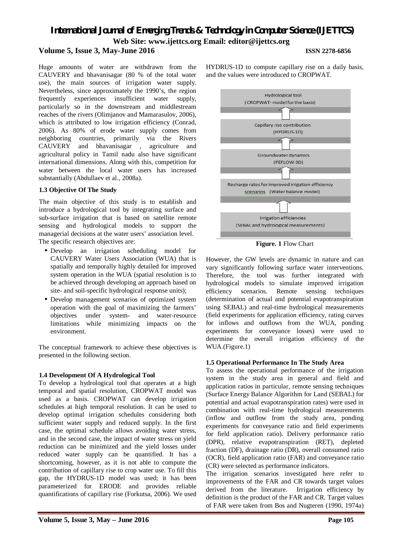#### **Volume 5, Issue 3, May-June 2016 ISSN 2278-6856**

Huge amounts of water are withdrawn from the CAUVERY and bhavanisagar (80 % of the total water use), the main sources of irrigation water supply. Nevertheless, since approximately the 1990's, the region frequently experiences insufficient water supply, particularly so in the downstream and middlestream reaches of the rivers (Olimjanov and Mamarasulov, 2006), which is attributed to low irrigation efficiency (Conrad, 2006). As 80% of erode water supply comes from neighboring countries, primarily via the Rivers CAUVERY and bhavanisagar , agriculture and agricultural policy in Tamil nadu also have significant international dimensions. Along with this, competition for water between the local water users has increased substantially (Abdullaev et al., 2008a).

### **1.3 Objective Of The Study**

The main objective of this study is to establish and introduce a hydrological tool by integrating surface and sub-surface irrigation that is based on satellite remote sensing and hydrological models to support the managerial decisions at the water users' association level. The specific research objectives are:

- Develop an irrigation scheduling model for CAUVERY Water Users Association (WUA) that is spatially and temporally highly detailed for improved system operation in the WUA (spatial resolution is to be achieved through developing an approach based on site- and soil-specific hydrological response units);
- Develop management scenarios of optimized system operation with the goal of maximizing the farmers' objectives under system- and water-resource limitations while minimizing impacts on the environment.

The conceptual framework to achieve these objectives is presented in the following section.

### **1.4 Development Of A Hydrological Tool**

To develop a hydrological tool that operates at a high temporal and spatial resolution, CROPWAT model was used as a basis. CROPWAT can develop irrigation schedules at high temporal resolution. It can be used to develop optimal irrigation schedules considering both sufficient water supply and reduced supply. In the first case, the optimal schedule allows avoiding water stress, and in the second case, the impact of water stress on yield reduction can be minimized and the yield losses under reduced water supply can be quantified. It has a shortcoming, however, as it is not able to compute the contribution of capillary rise to crop water use. To fill this gap, the HYDRUS-1D model was used; it has been parameterized for ERODE and provides reliable quantifications of capillary rise (Forkutsa, 2006). We used

HYDRUS-1D to compute capillary rise on a daily basis, and the values were introduced to CROPWAT.



**Figure. 1** Flow Chart

However, the GW levels are dynamic in nature and can vary significantly following surface water interventions. Therefore, the tool was further integrated with hydrological models to simulate improved irrigation efficiency scenarios. Remote sensing techniques (determination of actual and potential evapotranspiration using SEBAL) and real-time hydrological measurements (field experiments for application efficiency, rating curves for inflows and outflows from the WUA, ponding experiments for conveyance losses) were used to determine the overall irrigation efficiency of the WUA.(Figure.1)

#### **1.5 Operational Performance In The Study Area**

To assess the operational performance of the irrigation system in the study area in general and field and application ratios in particular, remote sensing techniques (Surface Energy Balance Algorithm for Land (SEBAL) for potential and actual evapotranspiration rates) were used in combination with real-time hydrological measurements (inflow and outflow from the study area, ponding experiments for conveyance ratio and field experiments for field application ratio). Delivery performance ratio (DPR), relative evapotranspiration (RET), depleted fraction (DF), drainage ratio (DR), overall consumed ratio (OCR), field application ratio (FAR) and conveyance ratio (CR) were selected as performance indicators.

The irrigation scenarios investigated here refer to improvements of the FAR and CR towards target values derived from the literature. Irrigation efficiency by definition is the product of the FAR and CR. Target values of FAR were taken from Bos and Nugteren (1990, 1974a)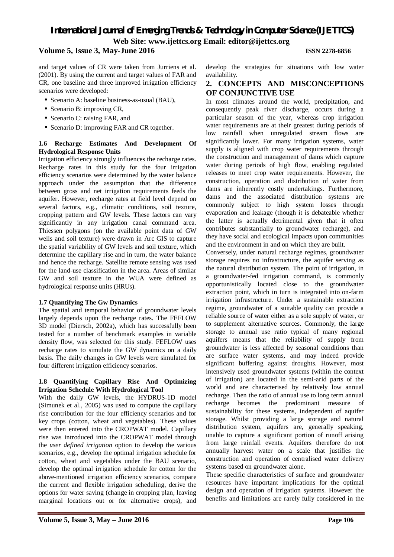### **Volume 5, Issue 3, May-June 2016 ISSN 2278-6856**

and target values of CR were taken from Jurriens et al. (2001). By using the current and target values of FAR and CR, one baseline and three improved irrigation efficiency scenarios were developed:

- Scenario A: baseline business-as-usual (BAU),
- Scenario B: improving CR,
- Scenario C: raising FAR, and
- Scenario D: improving FAR and CR together.

#### **1.6 Recharge Estimates And Development Of Hydrological Response Units**

Irrigation efficiency strongly influences the recharge rates. Recharge rates in this study for the four irrigation efficiency scenarios were determined by the water balance approach under the assumption that the difference between gross and net irrigation requirements feeds the aquifer. However, recharge rates at field level depend on several factors, e.g., climatic conditions, soil texture, cropping pattern and GW levels. These factors can vary significantly in any irrigation canal command area. Thiessen polygons (on the available point data of GW wells and soil texture) were drawn in Arc GIS to capture the spatial variability of GW levels and soil texture, which determine the capillary rise and in turn, the water balance and hence the recharge. Satellite remote sensing was used for the land-use classification in the area. Areas of similar GW and soil texture in the WUA were defined as hydrological response units (HRUs).

#### **1.7 Quantifying The Gw Dynamics**

The spatial and temporal behavior of groundwater levels largely depends upon the recharge rates. The FEFLOW 3D model (Diersch, 2002a), which has successfully been tested for a number of benchmark examples in variable density flow, was selected for this study. FEFLOW uses recharge rates to simulate the GW dynamics on a daily basis. The daily changes in GW levels were simulated for four different irrigation efficiency scenarios.

#### **1.8 Quantifying Capillary Rise And Optimizing Irrigation Schedule With Hydrological Tool**

With the daily GW levels, the HYDRUS-1D model (Simunek et al., 2005) was used to compute the capillary rise contribution for the four efficiency scenarios and for key crops (cotton, wheat and vegetables). These values were then entered into the CROPWAT model. Capillary rise was introduced into the CROPWAT model through the *user defined irrigation* option to develop the various scenarios, e.g., develop the optimal irrigation schedule for cotton, wheat and vegetables under the BAU scenario, develop the optimal irrigation schedule for cotton for the above-mentioned irrigation efficiency scenarios, compare the current and flexible irrigation scheduling, derive the options for water saving (change in cropping plan, leaving marginal locations out or for alternative crops), and develop the strategies for situations with low water availability.

#### **2. CONCEPTS AND MISCONCEPTIONS OF CONJUNCTIVE USE**

In most climates around the world, precipitation, and consequently peak river discharge, occurs during a particular season of the year, whereas crop irrigation water requirements are at their greatest during periods of low rainfall when unregulated stream flows are significantly lower. For many irrigation systems, water supply is aligned with crop water requirements through the construction and management of dams which capture water during periods of high flow, enabling regulated releases to meet crop water requirements. However, the construction, operation and distribution of water from dams are inherently costly undertakings. Furthermore, dams and the associated distribution systems are commonly subject to high system losses through evaporation and leakage (though it is debateable whether the latter is actually detrimental given that it often contributes substantially to groundwater recharge), and they have social and ecological impacts upon communities and the environment in and on which they are built.

Conversely, under natural recharge regimes, groundwater storage requires no infrastructure, the aquifer serving as the natural distribution system. The point of irrigation, in a groundwater-fed irrigation command, is commonly opportunistically located close to the groundwater extraction point, which in turn is integrated into on-farm irrigation infrastructure. Under a sustainable extraction regime, groundwater of a suitable quality can provide a reliable source of water either as a sole supply of water, or to supplement alternative sources. Commonly, the large storage to annual use ratio typical of many regional aquifers means that the reliability of supply from groundwater is less affected by seasonal conditions than are surface water systems, and may indeed provide significant buffering against droughts. However, most intensively used groundwater systems (within the context of irrigation) are located in the semi-arid parts of the world and are characterised by relatively low annual recharge. Then the ratio of annual use to long term annual recharge becomes the predominant measure of sustainability for these systems, independent of aquifer storage. Whilst providing a large storage and natural distribution system, aquifers are, generally speaking, unable to capture a significant portion of runoff arising from large rainfall events. Aquifers therefore do not annually harvest water on a scale that justifies the construction and operation of centralised water delivery systems based on groundwater alone.

These specific characteristics of surface and groundwater resources have important implications for the optimal design and operation of irrigation systems. However the benefits and limitations are rarely fully considered in the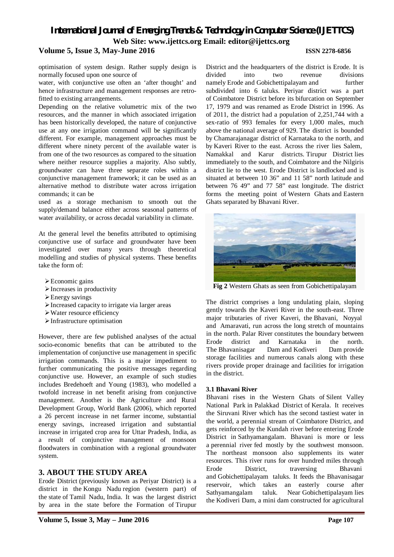# *International Journal of Emerging Trends & Technology in Computer Science (IJETTCS)* **Web Site: www.ijettcs.org Email: editor@ijettcs.org Volume 5, Issue 3, May-June 2016 ISSN 2278-6856**

optimisation of system design. Rather supply design is normally focused upon one source of

water, with conjunctive use often an 'after thought' and hence infrastructure and management responses are retrofitted to existing arrangements.

Depending on the relative volumetric mix of the two resources, and the manner in which associated irrigation has been historically developed, the nature of conjunctive use at any one irrigation command will be significantly different. For example, management approaches must be different where ninety percent of the available water is from one of the two resources as compared to the situation where neither resource supplies a majority. Also subtly, groundwater can have three separate roles within a conjunctive management framework; it can be used as an alternative method to distribute water across irrigation commands; it can be

used as a storage mechanism to smooth out the supply/demand balance either across seasonal patterns of water availability, or across decadal variability in climate.

At the general level the benefits attributed to optimising conjunctive use of surface and groundwater have been investigated over many years through theoretical modelling and studies of physical systems. These benefits take the form of:

- Economic gains
- $\triangleright$  Increases in productivity
- Energy savings
- $\triangleright$  Increased capacity to irrigate via larger areas
- Water resource efficiency
- Infrastructure optimisation

However, there are few published analyses of the actual socio-economic benefits that can be attributed to the implementation of conjunctive use management in specific irrigation commands. This is a major impediment to further communicating the positive messages regarding conjunctive use. However, an example of such studies includes Bredehoeft and Young (1983), who modelled a twofold increase in net benefit arising from conjunctive management. Another is the Agriculture and Rural Development Group, World Bank (2006), which reported a 26 percent increase in net farmer income, substantial energy savings, increased irrigation and substantial increase in irrigated crop area for Uttar Pradesh, India, as a result of conjunctive management of monsoon floodwaters in combination with a regional groundwater system.

#### **3. ABOUT THE STUDY AREA**

Erode District (previously known as Periyar District) is a district in the Kongu Nadu region (western part) of the state of Tamil Nadu, India. It was the largest district by area in the state before the Formation of Tirupur

District and the headquarters of the district is Erode. It is divided into two revenue divisions namely Erode and Gobichettipalayam and further subdivided into 6 taluks. Periyar district was a part of Coimbatore District before its bifurcation on September 17, 1979 and was renamed as Erode District in 1996. As of 2011, the district had a population of 2,251,744 with a sex-ratio of 993 females for every 1,000 males, much above the national average of 929. The district is bounded by Chamarajanagar district of Karnataka to the north, and by Kaveri River to the east. Across the river lies Salem, Namakkal and Karur districts. Tirupur District lies immediately to the south, and Coimbatore and the Nilgiris district lie to the west. Erode District is landlocked and is situated at between 10 36" and 11 58" north latitude and between 76 49" and 77 58" east longitude. The district forms the meeting point of Western Ghats and Eastern Ghats separated by Bhavani River.



**Fig 2** Western Ghats as seen from Gobichettipalayam

The district comprises a long undulating plain, sloping gently towards the Kaveri River in the south-east. Three major tributaries of river Kaveri, the Bhavani, Noyyal and Amaravati, run across the long stretch of mountains in the north. Palar River constitutes the boundary between Erode district and Karnataka in the north. The Bhavanisagar Dam and Kodiveri Dam provide storage facilities and numerous canals along with these rivers provide proper drainage and facilities for irrigation in the district.

#### **3.1 Bhavani River**

Bhavani rises in the Western Ghats of Silent Valley National Park in Palakkad District of Kerala. It receives the Siruvani River which has the second tastiest water in the world, a perennial stream of Coimbatore District, and gets reinforced by the Kundah river before entering Erode District in Sathyamangalam. Bhavani is more or less a perennial river fed mostly by the southwest monsoon. The northeast monsoon also supplements its water resources. This river runs for over hundred miles through Erode District, traversing Bhavani and Gobichettipalayam taluks. It feeds the Bhavanisagar reservoir, which takes an easterly course after Sathyamangalam taluk. Near Gobichettipalayam lies the Kodiveri Dam, a mini dam constructed for agricultural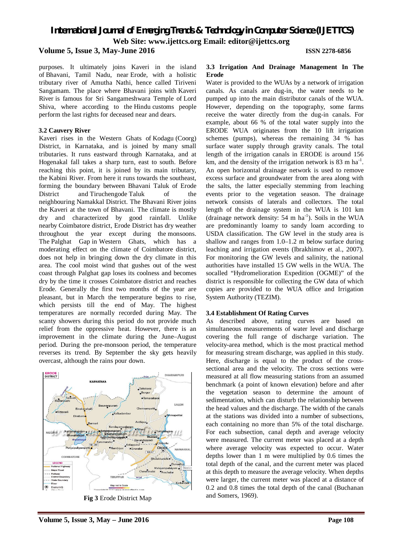# *International Journal of Emerging Trends & Technology in Computer Science (IJETTCS)*

**Web Site: www.ijettcs.org Email: editor@ijettcs.org** 

#### **Volume 5, Issue 3, May-June 2016 ISSN 2278-6856**

purposes. It ultimately joins Kaveri in the island of Bhavani, Tamil Nadu, near Erode, with a holistic tributary river of Amutha Nathi, hence called Tiriveni Sangamam. The place where Bhavani joins with Kaveri River is famous for Sri Sangameshwara Temple of Lord Shiva, where according to the Hindu customs people perform the last rights for deceased near and dears.

#### **3.2 Cauvery River**

Kaveri rises in the Western Ghats of Kodagu (Coorg) District, in Karnataka, and is joined by many small tributaries. It runs eastward through Karnataka, and at Hogenakal fall takes a sharp turn, east to south. Before reaching this point, it is joined by its main tributary, the Kabini River. From here it runs towards the southeast, forming the boundary between Bhavani Taluk of Erode District and Tiruchengode Taluk of the neighbouring Namakkal District. The Bhavani River joins the Kaveri at the town of Bhavani. The climate is mostly dry and characterized by good rainfall. Unlike nearby Coimbatore district, Erode District has dry weather throughout the year except during the monsoons. The Palghat Gap in Western Ghats, which has a moderating effect on the climate of Coimbatore district, does not help in bringing down the dry climate in this area. The cool moist wind that gushes out of the west coast through Palghat gap loses its coolness and becomes dry by the time it crosses Coimbatore district and reaches Erode. Generally the first two months of the year are pleasant, but in March the temperature begins to rise, which persists till the end of May. The highest temperatures are normally recorded during May. The scanty showers during this period do not provide much relief from the oppressive heat. However, there is an improvement in the climate during the June–August period. During the pre-monsoon period, the temperature reverses its trend. By September the sky gets heavily overcast, although the rains pour down.



**Fig 3** Erode District Map

#### **3.3 Irrigation And Drainage Management In The Erode**

Water is provided to the WUAs by a network of irrigation canals. As canals are dug-in, the water needs to be pumped up into the main distributor canals of the WUA. However, depending on the topography, some farms receive the water directly from the dug-in canals. For example, about 66 % of the total water supply into the ERODE WUA originates from the 10 lift irrigation schemes (pumps), whereas the remaining 34 % has surface water supply through gravity canals. The total length of the irrigation canals in ERODE is around 156 km, and the density of the irrigation network is 83 m ha<sup>-1</sup>. An open horizontal drainage network is used to remove excess surface and groundwater from the area along with the salts, the latter especially stemming from leaching events prior to the vegetation season. The drainage network consists of laterals and collectors. The total length of the drainage system in the WUA is 101 km (drainage network density:  $54 \text{ m ha}^{-1}$ ). Soils in the WUA are predominantly loamy to sandy loam according to USDA classification. The GW level in the study area is shallow and ranges from 1.0–1.2 m below surface during leaching and irrigation events (Ibrakhimov et al., 2007). For monitoring the GW levels and salinity, the national authorities have installed 15 GW wells in the WUA. The socalled "Hydromelioration Expedition (OGME)" of the district is responsible for collecting the GW data of which copies are provided to the WUA office and Irrigation System Authority (TEZIM).

#### **3.4 Establishment Of Rating Curves**

As described above, rating curves are based on simultaneous measurements of water level and discharge covering the full range of discharge variation. The velocity-area method, which is the most practical method for measuring stream discharge, was applied in this study. Here, discharge is equal to the product of the crosssectional area and the velocity. The cross sections were measured at all flow measuring stations from an assumed benchmark (a point of known elevation) before and after the vegetation season to determine the amount of sedimentation, which can disturb the relationship between the head values and the discharge. The width of the canals at the stations was divided into a number of subsections, each containing no more than 5% of the total discharge. For each subsection, canal depth and average velocity were measured. The current meter was placed at a depth where average velocity was expected to occur. Water depths lower than 1 m were multiplied by 0.6 times the total depth of the canal, and the current meter was placed at this depth to measure the average velocity. When depths were larger, the current meter was placed at a distance of 0.2 and 0.8 times the total depth of the canal (Buchanan and Somers, 1969).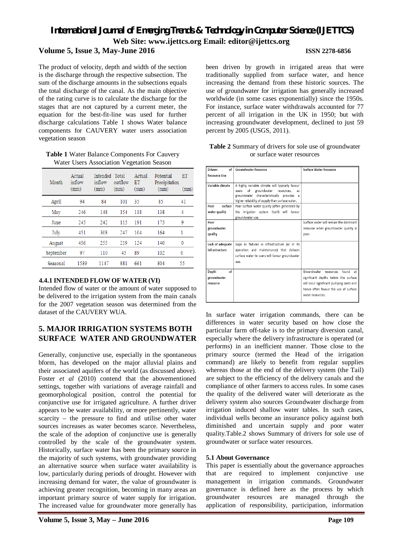#### **Volume 5, Issue 3, May-June 2016 ISSN 2278-6856**

The product of velocity, depth and width of the section is the discharge through the respective subsection. The sum of the discharge amounts in the subsections equals the total discharge of the canal. As the main objective of the rating curve is to calculate the discharge for the stages that are not captured by a current meter, the equation for the best-fit-line was used for further discharge calculations Table 1 shows Water balance components for CAUVERY water users association vegetation season

| Table 1 Water Balance Components For Cauvery |  |
|----------------------------------------------|--|
| Water Users Association Vegetation Season    |  |

| Month     | Actual<br>inflow<br>(mm) | Intended Total<br>inflow<br>(mm) | outflow<br>(mm) | Actual<br>ET<br>(mm) | Potential<br>Precipitation<br>(mm) | ET<br>(mm) |
|-----------|--------------------------|----------------------------------|-----------------|----------------------|------------------------------------|------------|
| April     | 94                       | 84                               | 101             | 35                   | 85                                 | 41         |
| May       | 246                      | 148                              | 154             | 118                  | 138                                | 4          |
| June      | 245                      | 2.42                             | 115             | 191                  | 175                                | 9          |
| July      | 451                      | 308                              | 247             | 104                  | 164                                | 1          |
| August    | 456                      | 255                              | 219             | 124                  | 140                                | 0          |
| September | 97                       | 110                              | 45              | 89                   | 102                                | 0          |
| Seasonal  | 1589                     | 1147                             | 881             | 661                  | 804                                | 55         |

#### **4.4.1 INTENDED FLOW OF WATER (VI)**

Intended flow of water or the amount of water supposed to be delivered to the irrigation system from the main canals for the 2007 vegetation season was determined from the dataset of the CAUVERY WUA.

### **5. MAJOR IRRIGATION SYSTEMS BOTH SURFACE WATER AND GROUNDWATER**

Generally, conjunctive use, especially in the spontaneous bform, has developed on the major alluvial plains and their associated aquifers of the world (as discussed above). Foster *et al* (2010) contend that the abovementioned settings, together with variations of average rainfall and geomorphological position, control the potential for conjunctive use for irrigated agriculture. A further driver appears to be water availability, or more pertinently, water scarcity – the pressure to find and utilise other water sources increases as water becomes scarce. Nevertheless, the scale of the adoption of conjunctive use is generally controlled by the scale of the groundwater system. Historically, surface water has been the primary source in the majority of such systems, with groundwater providing an alternative source when surface water availability is low, particularly during periods of drought. However with increasing demand for water, the value of groundwater is achieving greater recognition, becoming in many areas an important primary source of water supply for irrigation. The increased value for groundwater more generally has

been driven by growth in irrigated areas that were traditionally supplied from surface water, and hence increasing the demand from these historic sources. The use of groundwater for irrigation has generally increased worldwide (in some cases exponentially) since the 1950s. For instance, surface water withdrawals accounted for 77 percent of all irrigation in the UK in 1950; but with increasing groundwater development, declined to just 59 percent by 2005 (USGS, 2011).

| <b>Drivers</b><br>of | Groundwater Resource                             | <b>Surface Water Resource</b>            |
|----------------------|--------------------------------------------------|------------------------------------------|
| <b>Resource Use</b>  |                                                  |                                          |
|                      |                                                  |                                          |
| Variable climate     | A highly variable climate will typically favour  |                                          |
|                      | of<br>groundwater resources,<br>users<br>as      |                                          |
|                      | groundwater characteristically provides a        |                                          |
|                      | higher reliability of supply than surface water. |                                          |
| surface<br>Poor      | Poor surface water quality (often generated by   |                                          |
| water quality        | the irrigation system itself) will favour        |                                          |
|                      | groundwater use.                                 |                                          |
| Poor                 |                                                  | Surface water will remain the dominant   |
| groundwater          |                                                  | resource when groundwater quality is     |
| quality              |                                                  | poor.                                    |
|                      |                                                  |                                          |
| Lack of adequate     | Gaps or failures in infrastructure (or in its    |                                          |
| infrastructure       | operation and maintenance) that delivers         |                                          |
|                      | surface water to users will favour groundwater   |                                          |
|                      | use.                                             |                                          |
|                      |                                                  |                                          |
| of<br>Depth          |                                                  | Groundwater resources<br>found<br>at.    |
| groundwater          |                                                  | significant depths below the surface     |
| resource             |                                                  | will incur significant pumping costs and |
|                      |                                                  | hence often favour the use of surface    |
|                      |                                                  | water resources.                         |
|                      |                                                  |                                          |
|                      |                                                  |                                          |

**Table 2** Summary of drivers for sole use of groundwater or surface water resources

In surface water irrigation commands, there can be differences in water security based on how close the particular farm off-take is to the primary diversion canal, especially where the delivery infrastructure is operated (or performs) in an inefficient manner. Those close to the primary source (termed the Head of the irrigation command) are likely to benefit from regular supplies whereas those at the end of the delivery system (the Tail) are subject to the efficiency of the delivery canals and the compliance of other farmers to access rules. In some cases the quality of the delivered water will deteriorate as the delivery system also sources Groundwater discharge from irrigation induced shallow water tables. In such cases, individual wells become an insurance policy against both diminished and uncertain supply and poor water quality.Table.2 shows Summary of drivers for sole use of groundwater or surface water resources.

#### **5.1 About Governance**

This paper is essentially about the governance approaches that are required to implement conjunctive use management in irrigation commands. Groundwater governance is defined here as the process by which groundwater resources are managed through the application of responsibility, participation, information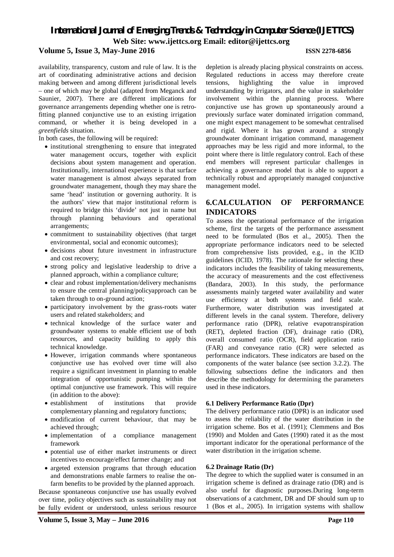**Volume 5, Issue 3, May-June 2016 ISSN 2278-6856**

availability, transparency, custom and rule of law. It is the art of coordinating administrative actions and decision making between and among different jurisdictional levels – one of which may be global (adapted from Meganck and Saunier, 2007). There are different implications for governance arrangements depending whether one is retrofitting planned conjunctive use to an existing irrigation command, or whether it is being developed in a *greenfields* situation.

In both cases, the following will be required:

- institutional strengthening to ensure that integrated water management occurs, together with explicit decisions about system management and operation. Institutionally, international experience is that surface water management is almost always separated from groundwater management, though they may share the same 'head' institution or governing authority. It is the authors' view that major institutional reform is required to bridge this 'divide' not just in name but through planning behaviours and operational arrangements;
- commitment to sustainability objectives (that target environmental, social and economic outcomes);
- decisions about future investment in infrastructure and cost recovery;
- strong policy and legislative leadership to drive a planned approach, within a compliance culture;
- clear and robust implementation/delivery mechanisms to ensure the central planning/policyapproach can be taken through to on-ground action;
- participatory involvement by the grass-roots water users and related stakeholders; and
- technical knowledge of the surface water and groundwater systems to enable efficient use of both resources, and capacity building to apply this technical knowledge.
- However, irrigation commands where spontaneous conjunctive use has evolved over time will also require a significant investment in planning to enable integration of opportunistic pumping within the optimal conjunctive use framework. This will require (in addition to the above):
- establishment of institutions that provide complementary planning and regulatory functions;
- modification of current behaviour, that may be achieved through;
- implementation of a compliance management framework
- potential use of either market instruments or direct incentives to encourage/effect farmer change; and
- argeted extension programs that through education and demonstrations enable farmers to realise the onfarm benefits to be provided by the planned approach.

Because spontaneous conjunctive use has usually evolved over time, policy objectives such as sustainability may not be fully evident or understood, unless serious resource

depletion is already placing physical constraints on access. Regulated reductions in access may therefore create tensions, highlighting the value in improved understanding by irrigators, and the value in stakeholder involvement within the planning process. Where conjunctive use has grown up spontaneously around a previously surface water dominated irrigation command, one might expect management to be somewhat centralised and rigid. Where it has grown around a strongly groundwater dominant irrigation command, management approaches may be less rigid and more informal, to the point where there is little regulatory control. Each of these end members will represent particular challenges in achieving a governance model that is able to support a technically robust and appropriately managed conjunctive management model.

#### **6.CALCULATION OF PERFORMANCE INDICATORS**

To assess the operational performance of the irrigation scheme, first the targets of the performance assessment need to be formulated (Bos et al., 2005). Then the appropriate performance indicators need to be selected from comprehensive lists provided, e.g., in the ICID guidelines (ICID, 1978). The rationale for selecting these indicators includes the feasibility of taking measurements, the accuracy of measurements and the cost effectiveness (Bandara, 2003). In this study, the performance assessments mainly targeted water availability and water use efficiency at both systems and field scale. Furthermore, water distribution was investigated at different levels in the canal system. Therefore, delivery performance ratio (DPR), relative evapotranspiration (RET), depleted fraction (DF), drainage ratio (DR), overall consumed ratio (OCR), field application ratio (FAR) and conveyance ratio (CR) were selected as performance indicators. These indicators are based on the components of the water balance (see section 3.2.2). The following subsections define the indicators and then describe the methodology for determining the parameters used in these indicators.

#### **6.1 Delivery Performance Ratio (Dpr)**

The delivery performance ratio (DPR) is an indicator used to assess the reliability of the water distribution in the irrigation scheme. Bos et al. (1991); Clemmens and Bos (1990) and Molden and Gates (1990) rated it as the most important indicator for the operational performance of the water distribution in the irrigation scheme.

#### **6.2 Drainage Ratio (Dr)**

The degree to which the supplied water is consumed in an irrigation scheme is defined as drainage ratio (DR) and is also useful for diagnostic purposes.During long-term observations of a catchment, DR and DF should sum up to 1 (Bos et al., 2005). In irrigation systems with shallow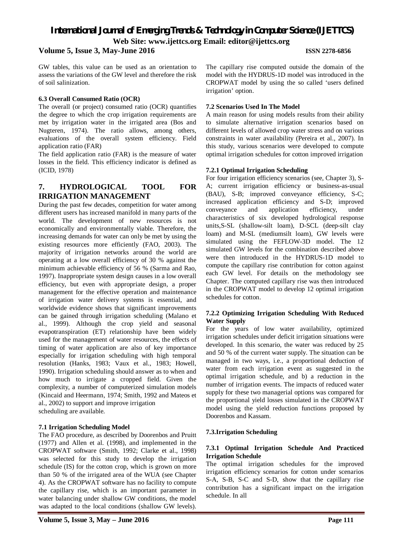#### **Volume 5, Issue 3, May-June 2016 ISSN 2278-6856**

GW tables, this value can be used as an orientation to assess the variations of the GW level and therefore the risk of soil salinization.

#### **6.3 Overall Consumed Ratio (OCR)**

The overall (or project) consumed ratio (OCR) quantifies the degree to which the crop irrigation requirements are met by irrigation water in the irrigated area (Bos and Nugteren, 1974). The ratio allows, among others, evaluations of the overall system efficiency. Field application ratio (FAR)

The field application ratio (FAR) is the measure of water losses in the field. This efficiency indicator is defined as (ICID, 1978)

### **7. HYDROLOGICAL TOOL FOR IRRIGATION MANAGEMENT**

During the past few decades, competition for water among different users has increased manifold in many parts of the world. The development of new resources is not economically and environmentally viable. Therefore, the increasing demands for water can only be met by using the existing resources more efficiently (FAO, 2003). The majority of irrigation networks around the world are operating at a low overall efficiency of 30 % against the minimum achievable efficiency of 56 % (Sarma and Rao, 1997). Inappropriate system design causes in a low overall efficiency, but even with appropriate design, a proper management for the effective operation and maintenance of irrigation water delivery systems is essential, and worldwide evidence shows that significant improvements can be gained through irrigation scheduling (Malano et al., 1999). Although the crop yield and seasonal evapotranspiration (ET) relationship have been widely used for the management of water resources, the effects of timing of water application are also of key importance especially for irrigation scheduling with high temporal resolution (Hanks, 1983; Vaux et al., 1983; Howell, 1990). Irrigation scheduling should answer as to when and how much to irrigate a cropped field. Given the complexity, a number of computerized simulation models (Kincaid and Heermann, 1974; Smith, 1992 and Mateos et al., 2002) to support and improve irrigation scheduling are available.

#### **7.1 Irrigation Scheduling Model**

The FAO procedure, as described by Doorenbos and Pruitt (1977) and Allen et al. (1998), and implemented in the CROPWAT software (Smith, 1992; Clarke et al., 1998) was selected for this study to develop the irrigation schedule (IS) for the cotton crop, which is grown on more than 50 % of the irrigated area of the WUA (see Chapter 4). As the CROPWAT software has no facility to compute the capillary rise, which is an important parameter in water balancing under shallow GW conditions, the model was adapted to the local conditions (shallow GW levels). The capillary rise computed outside the domain of the model with the HYDRUS-1D model was introduced in the CROPWAT model by using the so called 'users defined irrigation' option.

#### **7.2 Scenarios Used In The Model**

A main reason for using models results from their ability to simulate alternative irrigation scenarios based on different levels of allowed crop water stress and on various constraints in water availability (Pereira et al., 2007). In this study, various scenarios were developed to compute optimal irrigation schedules for cotton improved irrigation

#### **7.2.1 Optimal Irrigation Scheduling**

For four irrigation efficiency scenarios (see, Chapter 3), S-A; current irrigation efficiency or business-as-usual (BAU), S-B; improved conveyance efficiency, S-C; increased application efficiency and S-D; improved conveyance and application efficiency, under characteristics of six developed hydrological response units,S-SL (shallow-silt loam), D-SCL (deep-silt clay loam) and M-SL (mediumsilt loam), GW levels were simulated using the FEFLOW-3D model. The 12 simulated GW levels for the combination described above were then introduced in the HYDRUS-1D model to compute the capillary rise contribution for cotton against each GW level. For details on the methodology see Chapter. The computed capillary rise was then introduced in the CROPWAT model to develop 12 optimal irrigation schedules for cotton.

#### **7.2.2 Optimizing Irrigation Scheduling With Reduced Water Supply**

For the years of low water availability, optimized irrigation schedules under deficit irrigation situations were developed. In this scenario, the water was reduced by 25 and 50 % of the current water supply. The situation can be managed in two ways, i.e., a proportional deduction of water from each irrigation event as suggested in the optimal irrigation schedule, and b) a reduction in the number of irrigation events. The impacts of reduced water supply for these two managerial options was compared for the proportional yield losses simulated in the CROPWAT model using the yield reduction functions proposed by Doorenbos and Kassam.

#### **7.3.Irrigation Scheduling**

#### **7.3.1 Optimal Irrigation Schedule And Practiced Irrigation Schedule**

The optimal irrigation schedules for the improved irrigation efficiency scenarios for cotton under scenarios S-A, S-B, S-C and S-D, show that the capillary rise contribution has a significant impact on the irrigation schedule. In all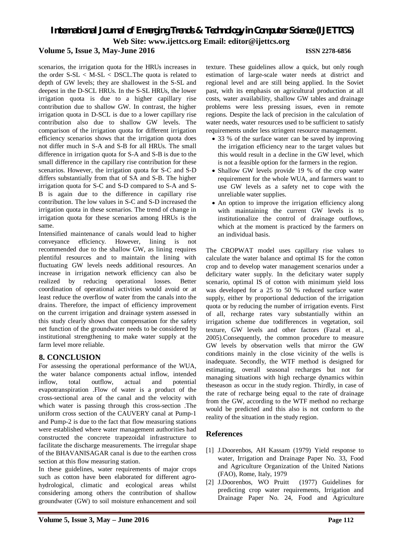# *International Journal of Emerging Trends & Technology in Computer Science (IJETTCS)* **Web Site: www.ijettcs.org Email: editor@ijettcs.org Volume 5, Issue 3, May-June 2016 ISSN 2278-6856**

scenarios, the irrigation quota for the HRUs increases in the order S-SL < M-SL < DSCL.The quota is related to depth of GW levels; they are shallowest in the S-SL and deepest in the D-SCL HRUs. In the S-SL HRUs, the lower irrigation quota is due to a higher capillary rise contribution due to shallow GW. In contrast, the higher irrigation quota in D-SCL is due to a lower capillary rise contribution also due to shallow GW levels. The comparison of the irrigation quota for different irrigation efficiency scenarios shows that the irrigation quota does not differ much in S-A and S-B for all HRUs. The small difference in irrigation quota for S-A and S-B is due to the small difference in the capillary rise contribution for these scenarios. However, the irrigation quota for S-C and S-D differs substantially from that of SA and S-B. The higher irrigation quota for S-C and S-D compared to S-A and S-B is again due to the difference in capillary rise contribution. The low values in S-C and S-D increased the irrigation quota in these scenarios. The trend of change in irrigation quota for these scenarios among HRUs is the same.

Intensified maintenance of canals would lead to higher conveyance efficiency. However, lining is not recommended due to the shallow GW, as lining requires plentiful resources and to maintain the lining with fluctuating GW levels needs additional resources. An increase in irrigation network efficiency can also be realized by reducing operational losses. Better coordination of operational activities would avoid or at least reduce the overflow of water from the canals into the drains. Therefore, the impact of efficiency improvement on the current irrigation and drainage system assessed in this study clearly shows that compensation for the safety net function of the groundwater needs to be considered by institutional strengthening to make water supply at the farm level more reliable.

#### **8. CONCLUSION**

For assessing the operational performance of the WUA, the water balance components actual inflow, intended inflow, total outflow, actual and potential evapotranspiration .Flow of water is a product of the cross-sectional area of the canal and the velocity with which water is passing through this cross-section .The uniform cross section of the CAUVERY canal at Pump-1 and Pump-2 is due to the fact that flow measuring stations were established where water management authorities had constructed the concrete trapezoidal infrastructure to facilitate the discharge measurements. The irregular shape of the BHAVANISAGAR canal is due to the earthen cross section at this flow measuring station.

In these guidelines, water requirements of major crops such as cotton have been elaborated for different agrohydrological, climatic and ecological areas whilst considering among others the contribution of shallow groundwater (GW) to soil moisture enhancement and soil

texture. These guidelines allow a quick, but only rough estimation of large-scale water needs at district and regional level and are still being applied. In the Soviet past, with its emphasis on agricultural production at all costs, water availability, shallow GW tables and drainage problems were less pressing issues, even in remote regions. Despite the lack of precision in the calculation of water needs, water resources used to be sufficient to satisfy requirements under less stringent resource management.

- 33 % of the surface water can be saved by improving the irrigation efficiency near to the target values but this would result in a decline in the GW level, which is not a feasible option for the farmers in the region.
- Shallow GW levels provide 19 % of the crop water requirement for the whole WUA, and farmers want to use GW levels as a safety net to cope with the unreliable water supplies.
- An option to improve the irrigation efficiency along with maintaining the current GW levels is to institutionalize the control of drainage outflows, which at the moment is practiced by the farmers on an individual basis.

The CROPWAT model uses capillary rise values to calculate the water balance and optimal IS for the cotton crop and to develop water management scenarios under a deficitary water supply. In the deficitary water supply scenario, optimal IS of cotton with minimum yield loss was developed for a 25 to 50 % reduced surface water supply, either by proportional deduction of the irrigation quota or by reducing the number of irrigation events. First of all, recharge rates vary substantially within an irrigation scheme due todifferences in vegetation, soil texture, GW levels and other factors (Fazal et al., 2005).Consequently, the common procedure to measure GW levels by observation wells that mirror the GW conditions mainly in the close vicinity of the wells is inadequate. Secondly, the WTF method is designed for estimating, overall seasonal recharges but not for managing situations with high recharge dynamics within theseason as occur in the study region. Thirdly, in case of the rate of recharge being equal to the rate of drainage from the GW, according to the WTF method no recharge would be predicted and this also is not conform to the reality of the situation in the study region.

### **References**

- [1] J.Doorenbos, AH Kassam (1979) Yield response to water, Irrigation and Drainage Paper No. 33, Food and Agriculture Organization of the United Nations (FAO), Rome, Italy, 1979
- [2] J.Doorenbos, WO Pruitt (1977) Guidelines for predicting crop water requirements, Irrigation and Drainage Paper No. 24, Food and Agriculture